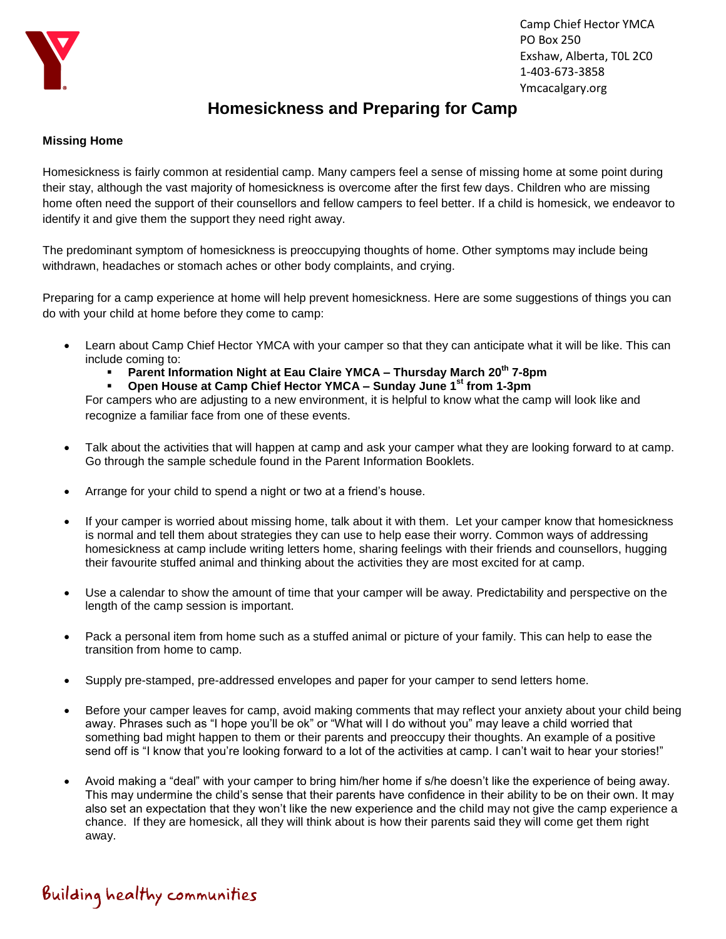

## **Homesickness and Preparing for Camp**

## **Missing Home**

Homesickness is fairly common at residential camp. Many campers feel a sense of missing home at some point during their stay, although the vast majority of homesickness is overcome after the first few days. Children who are missing home often need the support of their counsellors and fellow campers to feel better. If a child is homesick, we endeavor to identify it and give them the support they need right away.

The predominant symptom of homesickness is preoccupying thoughts of home. Other symptoms may include being withdrawn, headaches or stomach aches or other body complaints, and crying.

Preparing for a camp experience at home will help prevent homesickness. Here are some suggestions of things you can do with your child at home before they come to camp:

- Learn about Camp Chief Hector YMCA with your camper so that they can anticipate what it will be like. This can include coming to:
	- **Parent Information Night at Eau Claire YMCA – Thursday March 20th 7-8pm**
	- **Open House at Camp Chief Hector YMCA – Sunday June 1st from 1-3pm**

For campers who are adjusting to a new environment, it is helpful to know what the camp will look like and recognize a familiar face from one of these events.

- Talk about the activities that will happen at camp and ask your camper what they are looking forward to at camp. Go through the sample schedule found in the Parent Information Booklets.
- Arrange for your child to spend a night or two at a friend's house.
- If your camper is worried about missing home, talk about it with them. Let your camper know that homesickness is normal and tell them about strategies they can use to help ease their worry. Common ways of addressing homesickness at camp include writing letters home, sharing feelings with their friends and counsellors, hugging their favourite stuffed animal and thinking about the activities they are most excited for at camp.
- Use a calendar to show the amount of time that your camper will be away. Predictability and perspective on the length of the camp session is important.
- Pack a personal item from home such as a stuffed animal or picture of your family. This can help to ease the transition from home to camp.
- Supply pre-stamped, pre-addressed envelopes and paper for your camper to send letters home.
- Before your camper leaves for camp, avoid making comments that may reflect your anxiety about your child being away. Phrases such as "I hope you'll be ok" or "What will I do without you" may leave a child worried that something bad might happen to them or their parents and preoccupy their thoughts. An example of a positive send off is "I know that you're looking forward to a lot of the activities at camp. I can't wait to hear your stories!"
- Avoid making a "deal" with your camper to bring him/her home if s/he doesn't like the experience of being away. This may undermine the child's sense that their parents have confidence in their ability to be on their own. It may also set an expectation that they won't like the new experience and the child may not give the camp experience a chance. If they are homesick, all they will think about is how their parents said they will come get them right away.

## Building healthy communities